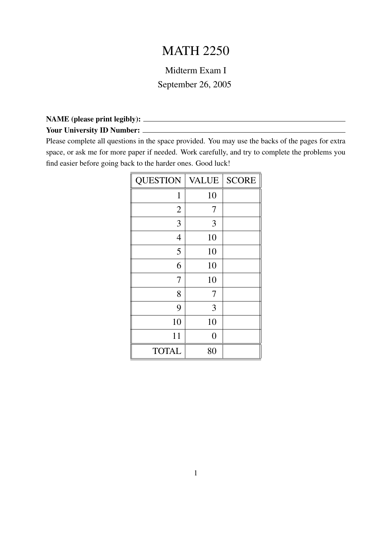# MATH 2250

## Midterm Exam I September 26, 2005

#### NAME (please print legibly): Your University ID Number:

Please complete all questions in the space provided. You may use the backs of the pages for extra space, or ask me for more paper if needed. Work carefully, and try to complete the problems you find easier before going back to the harder ones. Good luck!

| <b>QUESTION</b> | <b>VALUE</b>   | <b>SCORE</b> |
|-----------------|----------------|--------------|
| $\mathbf{1}$    | 10             |              |
| $\overline{2}$  | 7              |              |
| 3               | 3              |              |
| $\overline{4}$  | 10             |              |
| 5               | 10             |              |
| 6               | 10             |              |
| 7               | 10             |              |
| 8               | 7              |              |
| 9               | 3              |              |
| 10              | 10             |              |
| 11              | $\overline{0}$ |              |
| <b>TOTAL</b>    | 80             |              |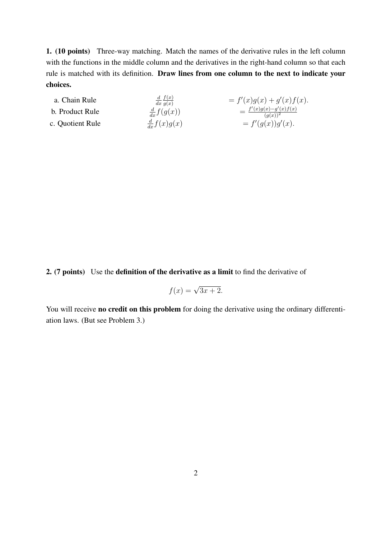1. (10 points) Three-way matching. Match the names of the derivative rules in the left column with the functions in the middle column and the derivatives in the right-hand column so that each rule is matched with its definition. Draw lines from one column to the next to indicate your choices.

| a. Chain Rule    | $\frac{d}{dx} f(x)$<br>$\overline{dx}$ $\overline{q(x)}$ | $= f'(x)g(x) + g'(x)f(x).$                           |
|------------------|----------------------------------------------------------|------------------------------------------------------|
| b. Product Rule  | $\frac{d}{dx}f(g(x))$                                    | $=$ $\frac{f'(x)g(x)-g'(x)f(x)}{g(x)}$<br>$(a(x))^2$ |
| c. Quotient Rule | $\frac{d}{dx}f(x)g(x)$                                   | $= f'(g(x))g'(x).$                                   |

2. (7 points) Use the definition of the derivative as a limit to find the derivative of

$$
f(x) = \sqrt{3x + 2}.
$$

You will receive no credit on this problem for doing the derivative using the ordinary differentiation laws. (But see Problem 3.)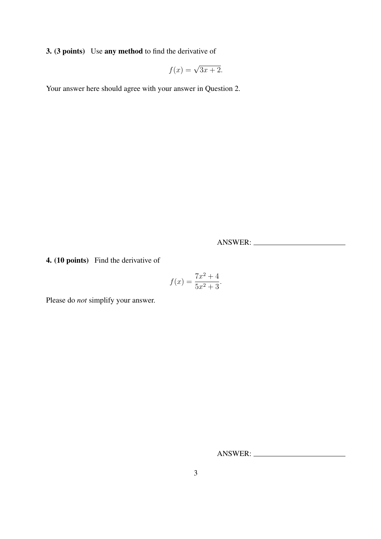3. (3 points) Use any method to find the derivative of

$$
f(x) = \sqrt{3x + 2}.
$$

Your answer here should agree with your answer in Question 2.

ANSWER:

4. (10 points) Find the derivative of

$$
f(x) = \frac{7x^2 + 4}{5x^2 + 3}.
$$

Please do *not* simplify your answer.

ANSWER: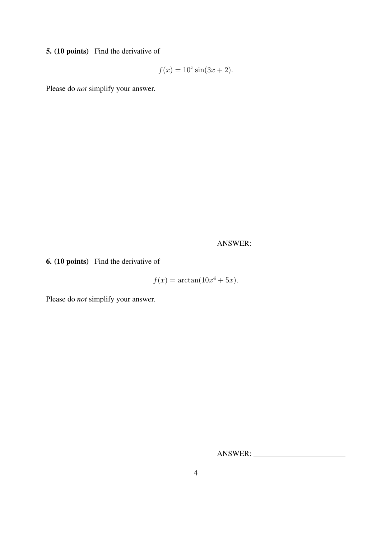5. (10 points) Find the derivative of

$$
f(x) = 10^x \sin(3x + 2).
$$

Please do *not* simplify your answer.

ANSWER:

6. (10 points) Find the derivative of

$$
f(x) = \arctan(10x^4 + 5x).
$$

Please do *not* simplify your answer.

ANSWER: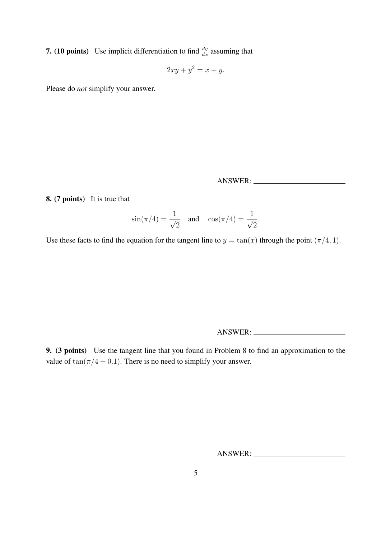**7.** (10 points) Use implicit differentiation to find  $\frac{dy}{dx}$  assuming that

$$
2xy + y^2 = x + y.
$$

Please do *not* simplify your answer.

ANSWER:

8. (7 points) It is true that

$$
\sin(\pi/4) = \frac{1}{\sqrt{2}} \quad \text{and} \quad \cos(\pi/4) = \frac{1}{\sqrt{2}}.
$$

Use these facts to find the equation for the tangent line to  $y = \tan(x)$  through the point  $(\pi/4, 1)$ .

ANSWER:

9. (3 points) Use the tangent line that you found in Problem 8 to find an approximation to the value of  $tan(\pi/4 + 0.1)$ . There is no need to simplify your answer.

ANSWER: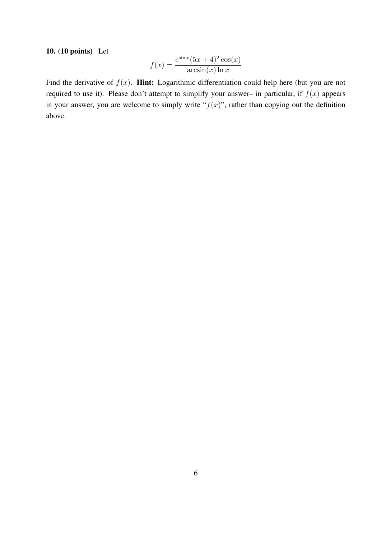#### 10. (10 points) Let

$$
f(x) = \frac{e^{\sin x}(5x+4)^2 \cos(x)}{\arcsin(x)\ln x}
$$

Find the derivative of  $f(x)$ . **Hint:** Logarithmic differentiation could help here (but you are not required to use it). Please don't attempt to simplify your answer– in particular, if  $f(x)$  appears in your answer, you are welcome to simply write " $f(x)$ ", rather than copying out the definition above.